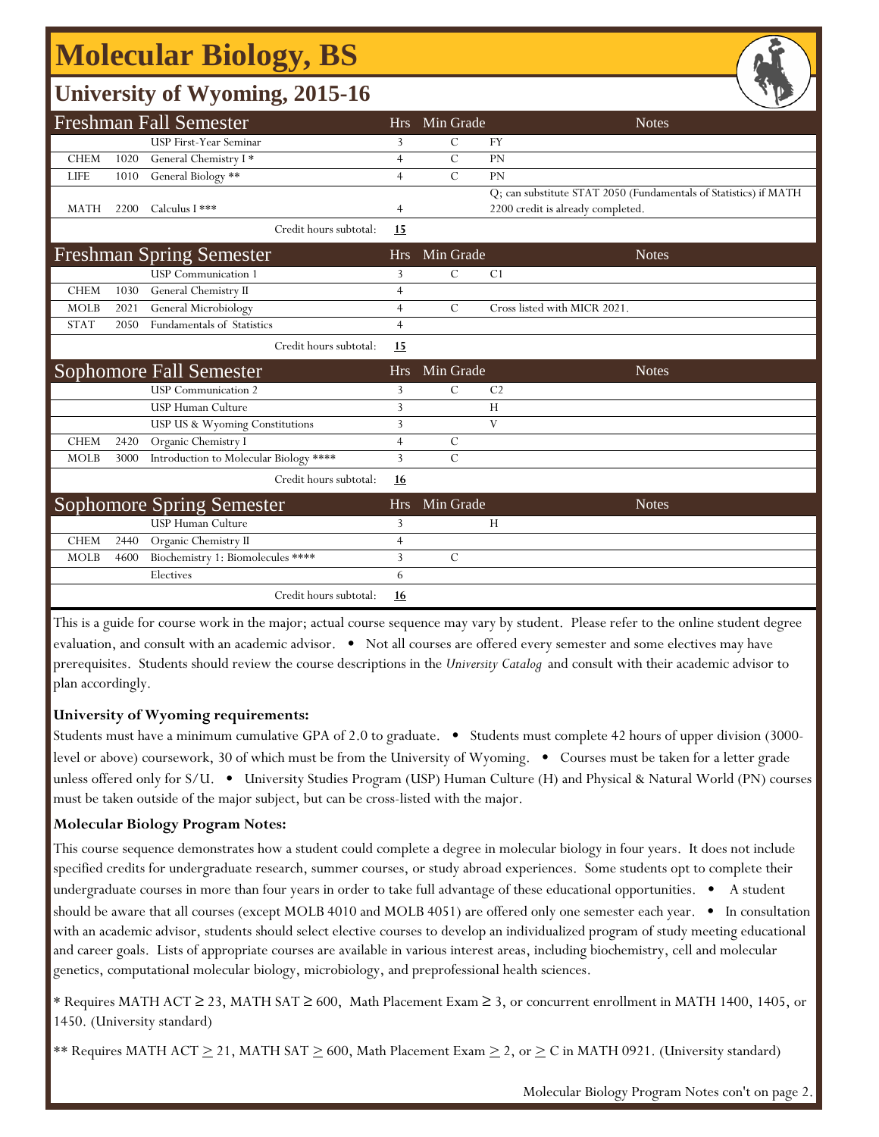# **Molecular Biology, BS**

## **University of Wyoming, 2015-16**

|             |      | $\tilde{\phantom{a}}$                                 |                |                | 一                                                                                                     |
|-------------|------|-------------------------------------------------------|----------------|----------------|-------------------------------------------------------------------------------------------------------|
|             |      | <b>Freshman Fall Semester</b>                         | Hrs            | Min Grade      | <b>Notes</b>                                                                                          |
|             |      | <b>USP First-Year Seminar</b>                         | 3              | C              | <b>FY</b>                                                                                             |
| <b>CHEM</b> | 1020 | General Chemistry I*                                  | $\overline{4}$ | $\mathcal{C}$  | PN                                                                                                    |
| <b>LIFE</b> | 1010 | General Biology **                                    | $\overline{4}$ | $\overline{C}$ | PN                                                                                                    |
| <b>MATH</b> | 2200 | Calculus I ***                                        | $\overline{4}$ |                | Q; can substitute STAT 2050 (Fundamentals of Statistics) if MATH<br>2200 credit is already completed. |
|             |      | Credit hours subtotal:                                | 15             |                |                                                                                                       |
|             |      | <b>Freshman Spring Semester</b>                       | <b>Hrs</b>     | Min Grade      | <b>Notes</b>                                                                                          |
|             |      | <b>USP</b> Communication 1                            | 3              | C              | C <sub>1</sub>                                                                                        |
| <b>CHEM</b> | 1030 | General Chemistry II                                  | $\overline{4}$ |                |                                                                                                       |
| <b>MOLB</b> | 2021 | General Microbiology                                  | $\overline{4}$ | $\mathcal{C}$  | Cross listed with MICR 2021.                                                                          |
| <b>STAT</b> | 2050 | Fundamentals of Statistics                            | $\overline{4}$ |                |                                                                                                       |
|             |      | Credit hours subtotal:                                | 15             |                |                                                                                                       |
|             |      |                                                       |                |                |                                                                                                       |
|             |      | Sophomore Fall Semester                               | <b>Hrs</b>     | Min Grade      | <b>Notes</b>                                                                                          |
|             |      | <b>USP</b> Communication 2                            | 3              | $\mathcal{C}$  | C <sub>2</sub>                                                                                        |
|             |      | USP Human Culture                                     | 3              |                | H                                                                                                     |
|             |      | USP US & Wyoming Constitutions                        | 3              |                | V                                                                                                     |
| <b>CHEM</b> | 2420 | Organic Chemistry I                                   | $\overline{4}$ | C              |                                                                                                       |
| <b>MOLB</b> | 3000 | Introduction to Molecular Biology ****                | 3              | $\overline{C}$ |                                                                                                       |
|             |      | Credit hours subtotal:                                | <u>16</u>      |                |                                                                                                       |
|             |      |                                                       | <b>Hrs</b>     | Min Grade      | <b>Notes</b>                                                                                          |
|             |      | <b>Sophomore Spring Semester</b><br>USP Human Culture | 3              |                | Н                                                                                                     |
| <b>CHEM</b> | 2440 | Organic Chemistry II                                  | $\overline{4}$ |                |                                                                                                       |
| <b>MOLB</b> | 4600 | Biochemistry 1: Biomolecules ****                     | 3              | $\mathcal{C}$  |                                                                                                       |
|             |      | Electives                                             | 6              |                |                                                                                                       |

This is a guide for course work in the major; actual course sequence may vary by student. Please refer to the online student degree evaluation, and consult with an academic advisor. • Not all courses are offered every semester and some electives may have prerequisites. Students should review the course descriptions in the *University Catalog* and consult with their academic advisor to plan accordingly.

### **University of Wyoming requirements:**

Students must have a minimum cumulative GPA of 2.0 to graduate. • Students must complete 42 hours of upper division (3000 level or above) coursework, 30 of which must be from the University of Wyoming. • Courses must be taken for a letter grade unless offered only for S/U. • University Studies Program (USP) Human Culture (H) and Physical & Natural World (PN) courses must be taken outside of the major subject, but can be cross-listed with the major.

### **Molecular Biology Program Notes:**

This course sequence demonstrates how a student could complete a degree in molecular biology in four years. It does not include specified credits for undergraduate research, summer courses, or study abroad experiences. Some students opt to complete their undergraduate courses in more than four years in order to take full advantage of these educational opportunities. • A student should be aware that all courses (except MOLB 4010 and MOLB 4051) are offered only one semester each year. • In consultation with an academic advisor, students should select elective courses to develop an individualized program of study meeting educational and career goals. Lists of appropriate courses are available in various interest areas, including biochemistry, cell and molecular genetics, computational molecular biology, microbiology, and preprofessional health sciences.

\* Requires MATH ACT ≥ 23, MATH SAT ≥ 600, Math Placement Exam ≥ 3, or concurrent enrollment in MATH 1400, 1405, or 1450. (University standard)

\*\* Requires MATH ACT  $\geq$  21, MATH SAT  $\geq$  600, Math Placement Exam  $\geq$  2, or  $\geq$  C in MATH 0921. (University standard)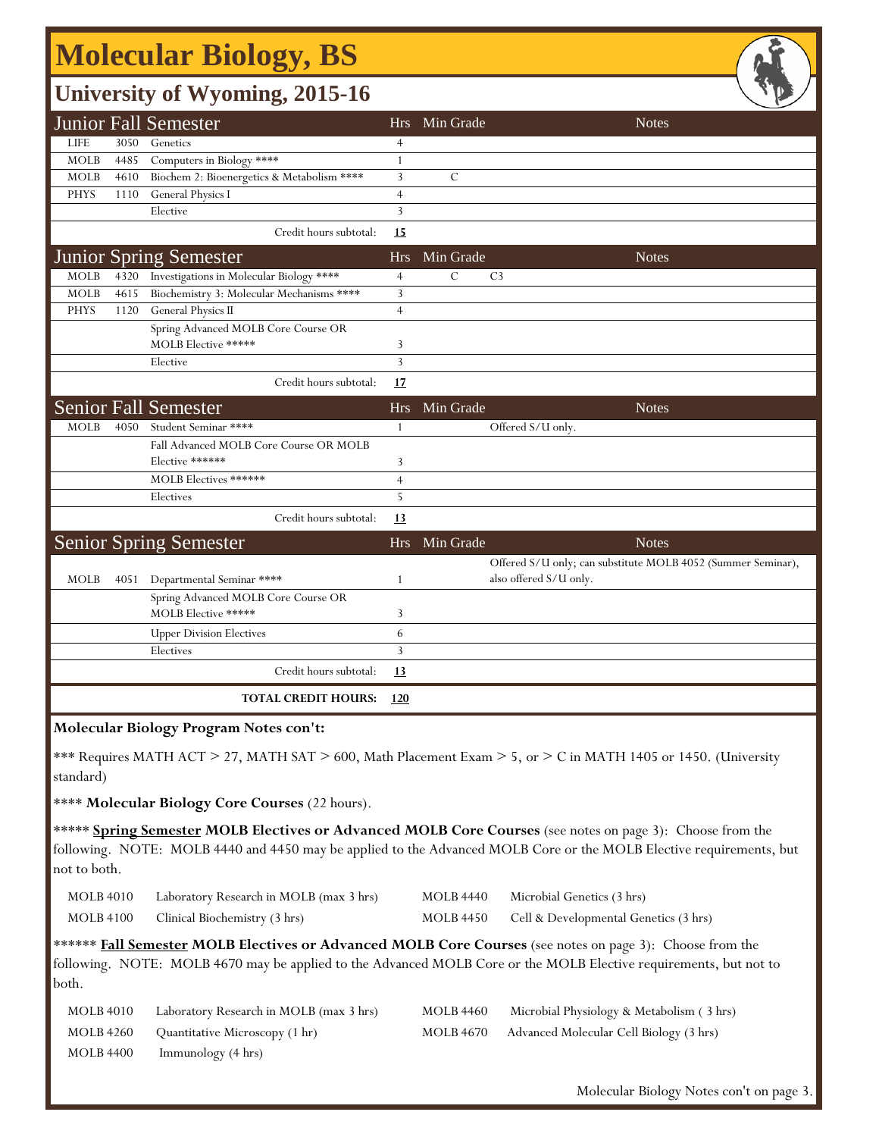# **Molecular Biology, BS**

## **University of Wyoming, 2015-16**

|             |      | $\mathbf{C}^{\prime}$                      |                |                        | - -                                                          |
|-------------|------|--------------------------------------------|----------------|------------------------|--------------------------------------------------------------|
|             |      | <b>Junior Fall Semester</b>                |                | Hrs Min Grade          | <b>Notes</b>                                                 |
| <b>LIFE</b> | 3050 | Genetics                                   | $\overline{4}$ |                        |                                                              |
| <b>MOLB</b> | 4485 | Computers in Biology ****                  | 1              |                        |                                                              |
| <b>MOLB</b> | 4610 | Biochem 2: Bioenergetics & Metabolism **** | $\mathbf{3}$   | $\mathcal{C}$          |                                                              |
| <b>PHYS</b> | 1110 | General Physics I                          | $\overline{4}$ |                        |                                                              |
|             |      | Elective                                   | 3              |                        |                                                              |
|             |      | Credit hours subtotal:                     | <u>15</u>      |                        |                                                              |
|             |      | <b>Junior Spring Semester</b>              | <b>Hrs</b>     | Min Grade              | <b>Notes</b>                                                 |
| <b>MOLB</b> | 4320 | Investigations in Molecular Biology ****   | $\overline{4}$ | C<br>C <sub>3</sub>    |                                                              |
| <b>MOLB</b> | 4615 | Biochemistry 3: Molecular Mechanisms ****  | 3              |                        |                                                              |
| <b>PHYS</b> | 1120 | General Physics II                         | $\overline{4}$ |                        |                                                              |
|             |      | Spring Advanced MOLB Core Course OR        |                |                        |                                                              |
|             |      | MOLB Elective *****                        | 3              |                        |                                                              |
|             |      | Elective                                   | $\overline{3}$ |                        |                                                              |
|             |      | Credit hours subtotal:                     | 17             |                        |                                                              |
|             |      | <b>Senior Fall Semester</b>                | Hrs            | Min Grade              | <b>Notes</b>                                                 |
| <b>MOLB</b> | 4050 | Student Seminar ****                       | 1              | Offered S/U only.      |                                                              |
|             |      | Fall Advanced MOLB Core Course OR MOLB     |                |                        |                                                              |
|             |      | Elective ******                            | 3              |                        |                                                              |
|             |      | MOLB Electives ******                      | $\overline{4}$ |                        |                                                              |
|             |      | Electives                                  | 5              |                        |                                                              |
|             |      | Credit hours subtotal:                     | 13             |                        |                                                              |
|             |      | <b>Senior Spring Semester</b>              | <b>Hrs</b>     | Min Grade              | <b>Notes</b>                                                 |
|             |      |                                            |                |                        | Offered S/U only; can substitute MOLB 4052 (Summer Seminar), |
| <b>MOLB</b> | 4051 | Departmental Seminar ****                  | $\mathbf{1}$   | also offered S/U only. |                                                              |
|             |      | Spring Advanced MOLB Core Course OR        |                |                        |                                                              |
|             |      | MOLB Elective *****                        | 3              |                        |                                                              |
|             |      | <b>Upper Division Electives</b>            | 6              |                        |                                                              |
|             |      | Electives                                  | $\overline{3}$ |                        |                                                              |
|             |      | Credit hours subtotal:                     | 13             |                        |                                                              |
|             |      | <b>TOTAL CREDIT HOURS:</b>                 | <u>120</u>     |                        |                                                              |
|             |      |                                            |                |                        |                                                              |

#### **Molecular Biology Program Notes con't:**

\*\*\* Requires MATH ACT > 27, MATH SAT > 600, Math Placement Exam > 5, or > C in MATH 1405 or 1450. (University standard)

\*\*\*\* **Molecular Biology Core Courses** (22 hours).

\*\*\*\*\* **Spring Semester MOLB Electives or Advanced MOLB Core Courses** (see notes on page 3): Choose from the following. NOTE: MOLB 4440 and 4450 may be applied to the Advanced MOLB Core or the MOLB Elective requirements, but not to both.

| <b>MOLB</b> 4010 | Laboratory Research in MOLB (max 3 hrs) |
|------------------|-----------------------------------------|
| <b>MOLB</b> 4100 | Clinical Biochemistry (3 hrs)           |

MOLB 4440 Microbial Genetics (3 hrs) MOLB 4450 Cell & Developmental Genetics (3 hrs)

\*\*\*\*\*\* **Fall Semester MOLB Electives or Advanced MOLB Core Courses** (see notes on page 3): Choose from the following. NOTE: MOLB 4670 may be applied to the Advanced MOLB Core or the MOLB Elective requirements, but not to both.

| <b>MOLB 4010</b> | Laboratory Research in MOLB (max 3 hrs) | <b>MOLB 4460</b> | Microbial Physiology & Metabolism (3 hrs) |
|------------------|-----------------------------------------|------------------|-------------------------------------------|
| MOLB 4260        | Quantitative Microscopy (1 hr)          | MOLB 4670        | Advanced Molecular Cell Biology (3 hrs)   |
| MOLB 4400        | Immunology (4 hrs)                      |                  |                                           |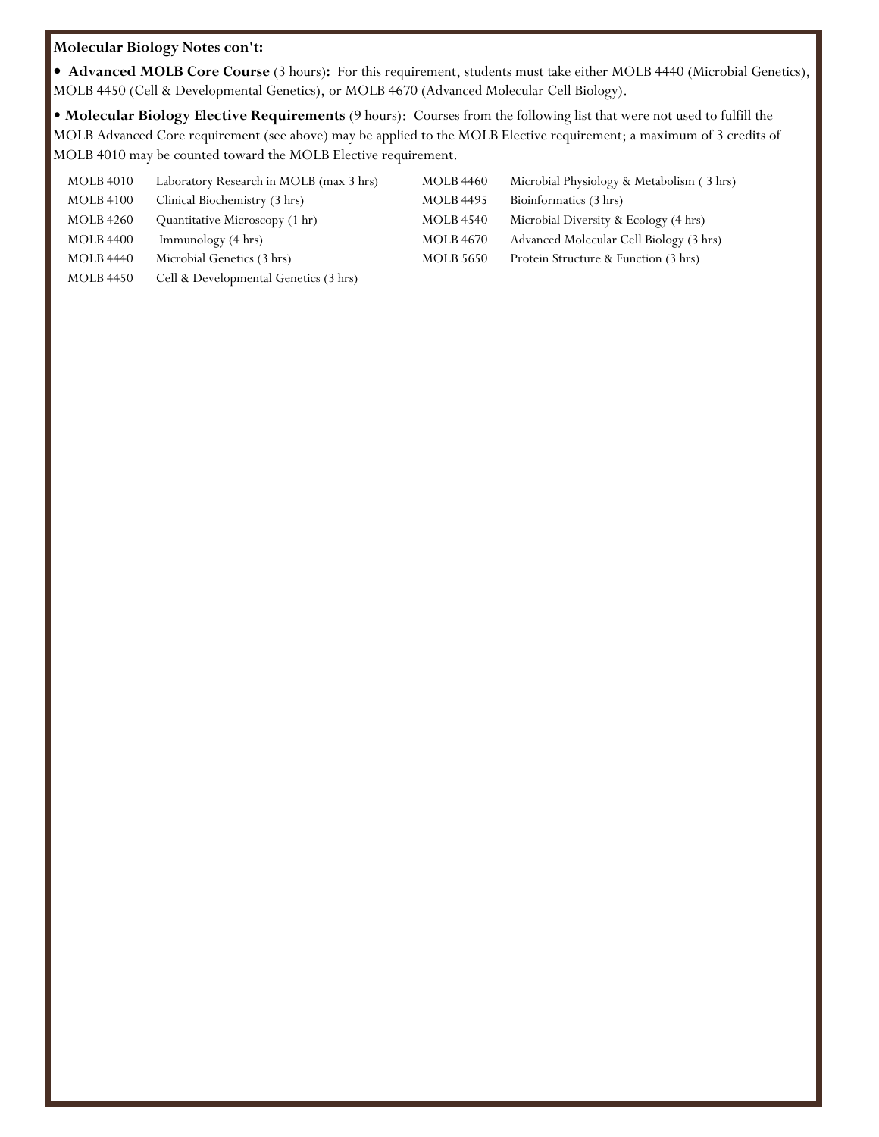#### **Molecular Biology Notes con't:**

**• Advanced MOLB Core Course** (3 hours)**:** For this requirement, students must take either MOLB 4440 (Microbial Genetics), MOLB 4450 (Cell & Developmental Genetics), or MOLB 4670 (Advanced Molecular Cell Biology).

• **Molecular Biology Elective Requirements** (9 hours): Courses from the following list that were not used to fulfill the MOLB Advanced Core requirement (see above) may be applied to the MOLB Elective requirement; a maximum of 3 credits of MOLB 4010 may be counted toward the MOLB Elective requirement.

| <b>MOLB 4010</b> | Laboratory Research in MOLB (max 3 hrs) | <b>MOLB 4460</b> | Microbial Physiology & Metabolism (3 hrs) |
|------------------|-----------------------------------------|------------------|-------------------------------------------|
| <b>MOLB 4100</b> | Clinical Biochemistry (3 hrs)           | <b>MOLB</b> 4495 | Bioinformatics (3 hrs)                    |
| <b>MOLB 4260</b> | Quantitative Microscopy (1 hr)          | <b>MOLB 4540</b> | Microbial Diversity & Ecology (4 hrs)     |
| <b>MOLB 4400</b> | Immunology (4 hrs)                      | <b>MOLB 4670</b> | Advanced Molecular Cell Biology (3 hrs)   |
| <b>MOLB 4440</b> | Microbial Genetics (3 hrs)              | <b>MOLB 5650</b> | Protein Structure & Function (3 hrs)      |
| <b>MOLB 4450</b> | Cell & Developmental Genetics (3 hrs)   |                  |                                           |